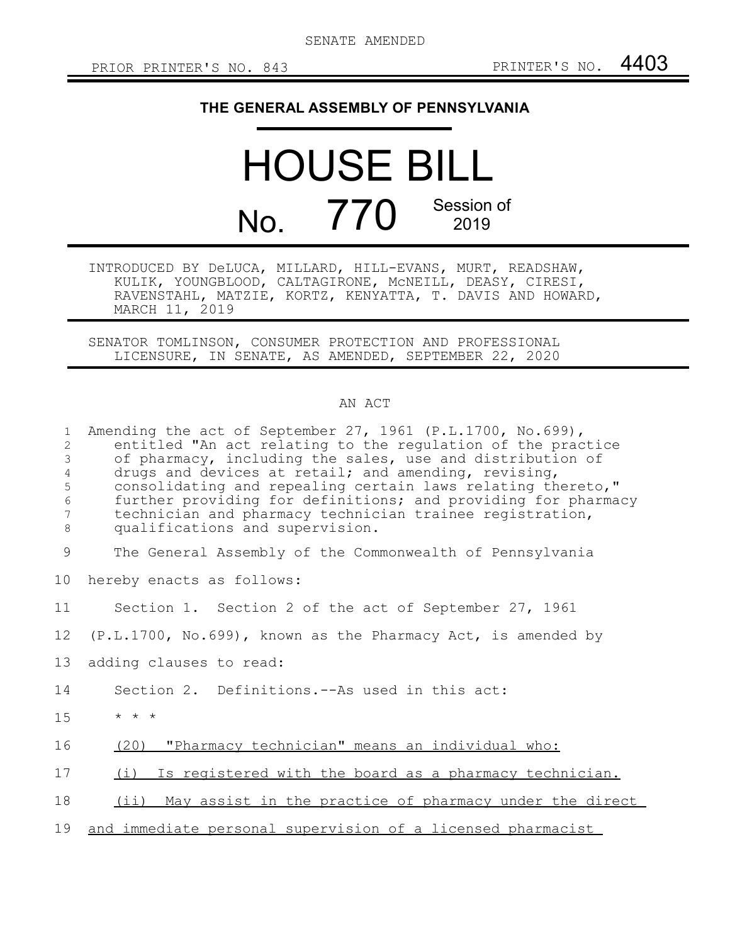SENATE AMENDED

## **THE GENERAL ASSEMBLY OF PENNSYLVANIA**

## HOUSE BILL No. 770 Session of 2019

INTRODUCED BY DeLUCA, MILLARD, HILL-EVANS, MURT, READSHAW, KULIK, YOUNGBLOOD, CALTAGIRONE, McNEILL, DEASY, CIRESI, RAVENSTAHL, MATZIE, KORTZ, KENYATTA, T. DAVIS AND HOWARD, MARCH 11, 2019

SENATOR TOMLINSON, CONSUMER PROTECTION AND PROFESSIONAL LICENSURE, IN SENATE, AS AMENDED, SEPTEMBER 22, 2020

## AN ACT

| $\mathbf{1}$<br>2<br>3<br>$\overline{4}$<br>5<br>$\epsilon$<br>$7\phantom{.0}$<br>8 | Amending the act of September 27, 1961 (P.L.1700, No.699),<br>entitled "An act relating to the regulation of the practice<br>of pharmacy, including the sales, use and distribution of<br>drugs and devices at retail; and amending, revising,<br>consolidating and repealing certain laws relating thereto,"<br>further providing for definitions; and providing for pharmacy<br>technician and pharmacy technician trainee registration,<br>qualifications and supervision. |
|-------------------------------------------------------------------------------------|-------------------------------------------------------------------------------------------------------------------------------------------------------------------------------------------------------------------------------------------------------------------------------------------------------------------------------------------------------------------------------------------------------------------------------------------------------------------------------|
| 9                                                                                   | The General Assembly of the Commonwealth of Pennsylvania                                                                                                                                                                                                                                                                                                                                                                                                                      |
| 10                                                                                  | hereby enacts as follows:                                                                                                                                                                                                                                                                                                                                                                                                                                                     |
| 11                                                                                  | Section 1. Section 2 of the act of September 27, 1961                                                                                                                                                                                                                                                                                                                                                                                                                         |
| 12                                                                                  | $(P.L.1700, No.699)$ , known as the Pharmacy Act, is amended by                                                                                                                                                                                                                                                                                                                                                                                                               |
| 13                                                                                  | adding clauses to read:                                                                                                                                                                                                                                                                                                                                                                                                                                                       |
| 14                                                                                  | Section 2. Definitions.--As used in this act:                                                                                                                                                                                                                                                                                                                                                                                                                                 |
| 15                                                                                  | $\star$ $\star$ $\star$                                                                                                                                                                                                                                                                                                                                                                                                                                                       |
| 16                                                                                  | (20) "Pharmacy technician" means an individual who:                                                                                                                                                                                                                                                                                                                                                                                                                           |
| 17                                                                                  | (i) Is registered with the board as a pharmacy technician.                                                                                                                                                                                                                                                                                                                                                                                                                    |
| 18                                                                                  | (ii) May assist in the practice of pharmacy under the direct                                                                                                                                                                                                                                                                                                                                                                                                                  |
| 19                                                                                  | and immediate personal supervision of a licensed pharmacist                                                                                                                                                                                                                                                                                                                                                                                                                   |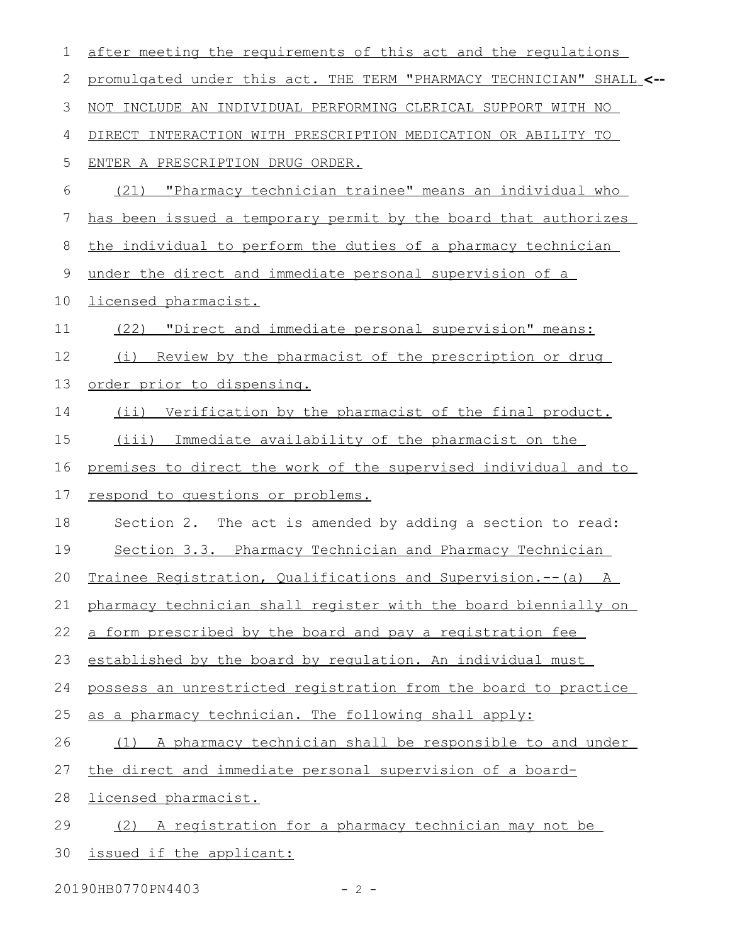| $\mathbf 1$ | after meeting the requirements of this act and the requlations       |
|-------------|----------------------------------------------------------------------|
| 2           | promulgated under this act. THE TERM "PHARMACY TECHNICIAN" SHALL <-- |
| 3           | NOT INCLUDE AN INDIVIDUAL PERFORMING CLERICAL SUPPORT WITH NO        |
| 4           | DIRECT INTERACTION WITH PRESCRIPTION MEDICATION OR ABILITY TO        |
| 5           | ENTER A PRESCRIPTION DRUG ORDER.                                     |
| 6           | "Pharmacy technician trainee" means an individual who<br>(21)        |
| 7           | has been issued a temporary permit by the board that authorizes      |
| 8           | the individual to perform the duties of a pharmacy technician        |
| $\mathsf 9$ | under the direct and immediate personal supervision of a             |
| 10          | licensed pharmacist.                                                 |
| 11          | (22) "Direct and immediate personal supervision" means:              |
| 12          | Review by the pharmacist of the prescription or drug<br>(i)          |
| 13          | order prior to dispensing.                                           |
| 14          | (ii) Verification by the pharmacist of the final product.            |
| 15          | (iii) Immediate availability of the pharmacist on the                |
| 16          | premises to direct the work of the supervised individual and to      |
| 17          | respond to questions or problems.                                    |
| 18          | Section 2. The act is amended by adding a section to read:           |
| 19          | Section 3.3. Pharmacy Technician and Pharmacy Technician             |
| 20          | Trainee Registration, Qualifications and Supervision.--(a) A         |
| 21          | pharmacy technician shall register with the board biennially on      |
| 22          | a form prescribed by the board and pay a registration fee            |
| 23          | established by the board by regulation. An individual must           |
| 24          | possess an unrestricted registration from the board to practice      |
| 25          | as a pharmacy technician. The following shall apply:                 |
| 26          | (1)<br>A pharmacy technician shall be responsible to and under       |
| 27          | the direct and immediate personal supervision of a board-            |
| 28          | licensed pharmacist.                                                 |
| 29          | A registration for a pharmacy technician may not be<br>(2)           |
| 30          | issued if the applicant:                                             |

20190HB0770PN4403 - 2 -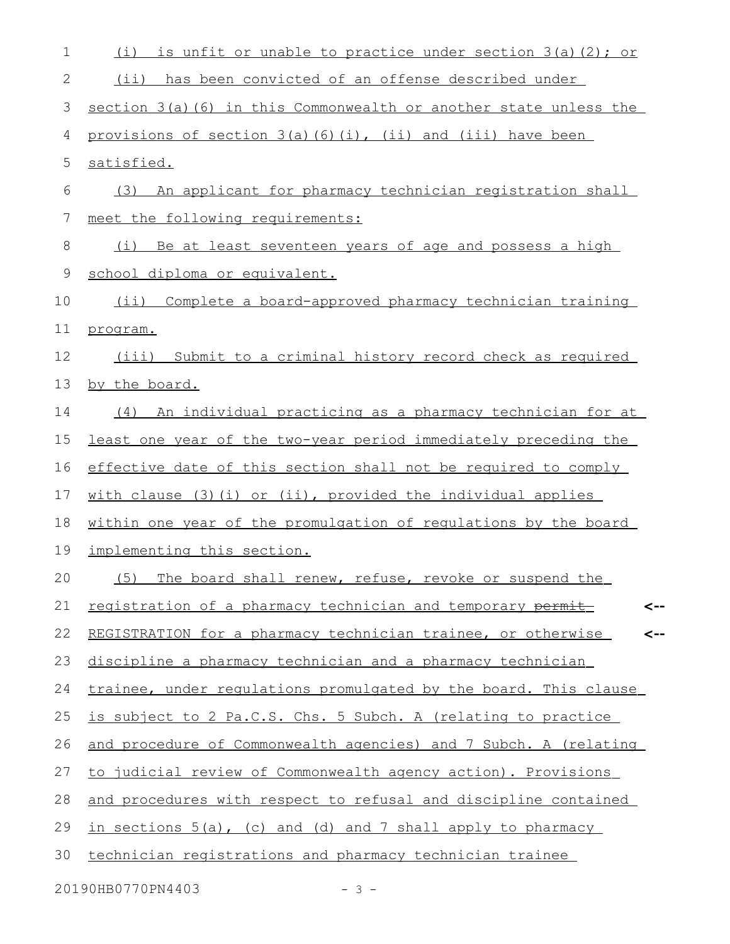| $\mathbf 1$ | (i)<br>is unfit or unable to practice under section 3(a)(2); or         |
|-------------|-------------------------------------------------------------------------|
| 2           | (ii) has been convicted of an offense described under                   |
| 3           | section $3(a)$ (6) in this Commonwealth or another state unless the     |
| 4           | provisions of section $3(a)$ $(6)$ $(i)$ , $(ii)$ and $(iii)$ have been |
| 5           | satisfied.                                                              |
| 6           | An applicant for pharmacy technician registration shall<br>(3)          |
| 7           | meet the following requirements:                                        |
| 8           | Be at least seventeen years of age and possess a high<br>(i)            |
| 9           | school diploma or equivalent.                                           |
| 10          | (ii) Complete a board-approved pharmacy technician training             |
| 11          | program.                                                                |
| 12          | (iii) Submit to a criminal history record check as required             |
| 13          | by the board.                                                           |
| 14          | (4) An individual practicing as a pharmacy technician for at            |
| 15          | <u>least one year of the two-year period immediately preceding the</u>  |
| 16          | effective date of this section shall not be required to comply          |
| 17          | with clause (3)(i) or (ii), provided the individual applies             |
| 18          | within one year of the promulgation of regulations by the board         |
| 19          | implementing this section.                                              |
| 20          | (5) The board shall renew, refuse, revoke or suspend the                |
| 21          | registration of a pharmacy technician and temporary permit<br><--       |
| 22          | REGISTRATION for a pharmacy technician trainee, or otherwise<br><--     |
| 23          | discipline a pharmacy technician and a pharmacy technician              |
| 24          | trainee, under requlations promulgated by the board. This clause        |
| 25          | is subject to 2 Pa.C.S. Chs. 5 Subch. A (relating to practice           |
| 26          | and procedure of Commonwealth agencies) and 7 Subch. A (relating        |
| 27          | to judicial review of Commonwealth agency action). Provisions           |
| 28          | and procedures with respect to refusal and discipline contained         |
| 29          | in sections 5(a), (c) and (d) and 7 shall apply to pharmacy             |
| 30          | technician registrations and pharmacy technician trainee                |
|             |                                                                         |

20190HB0770PN4403 - 3 -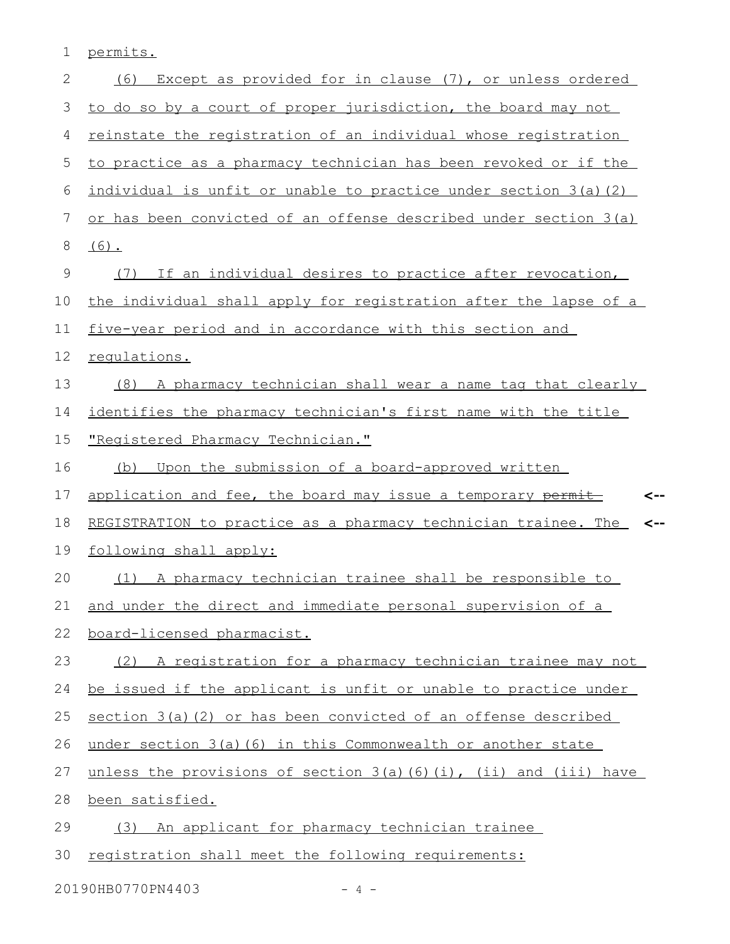1 permits.

| $\mathbf{2}$ | Except as provided for in clause (7), or unless ordered<br>(6)                |  |  |  |  |
|--------------|-------------------------------------------------------------------------------|--|--|--|--|
| 3            | to do so by a court of proper jurisdiction, the board may not                 |  |  |  |  |
| 4            | reinstate the registration of an individual whose registration                |  |  |  |  |
| 5            | to practice as a pharmacy technician has been revoked or if the               |  |  |  |  |
| 6            | individual is unfit or unable to practice under section 3(a) (2)              |  |  |  |  |
| 7            | or has been convicted of an offense described under section 3(a)              |  |  |  |  |
| 8            | $(6)$ .                                                                       |  |  |  |  |
| 9            | If an individual desires to practice after revocation,<br>(7)                 |  |  |  |  |
| 10           | the individual shall apply for registration after the lapse of a              |  |  |  |  |
| 11           | five-year period and in accordance with this section and                      |  |  |  |  |
| 12           | requlations.                                                                  |  |  |  |  |
| 13           | (8) A pharmacy technician shall wear a name tag that clearly                  |  |  |  |  |
| 14           | identifies the pharmacy technician's first name with the title                |  |  |  |  |
| 15           | "Registered Pharmacy Technician."                                             |  |  |  |  |
| 16           | Upon the submission of a board-approved written<br>(b)                        |  |  |  |  |
|              |                                                                               |  |  |  |  |
| 17           | application and fee, the board may issue a temporary permit<br><--            |  |  |  |  |
| 18           | REGISTRATION to practice as a pharmacy technician trainee. The<br><--         |  |  |  |  |
| 19           | following shall apply:                                                        |  |  |  |  |
| 20           | (1) A pharmacy technician trainee shall be responsible to                     |  |  |  |  |
| 21           | and under the direct and immediate personal supervision of a                  |  |  |  |  |
| 22           | board-licensed pharmacist.                                                    |  |  |  |  |
| 23           | (2) A registration for a pharmacy technician trainee may not                  |  |  |  |  |
| 24           | be issued if the applicant is unfit or unable to practice under               |  |  |  |  |
| 25           | section 3(a)(2) or has been convicted of an offense described                 |  |  |  |  |
| 26           | under section 3(a)(6) in this Commonwealth or another state                   |  |  |  |  |
| 27           | unless the provisions of section $3(a)$ $(6)$ $(i)$ , $(ii)$ and $(iii)$ have |  |  |  |  |
| 28           | been satisfied.                                                               |  |  |  |  |
| 29           | (3) An applicant for pharmacy technician trainee                              |  |  |  |  |
| 30           | registration shall meet the following requirements:                           |  |  |  |  |

20190HB0770PN4403 - 4 -